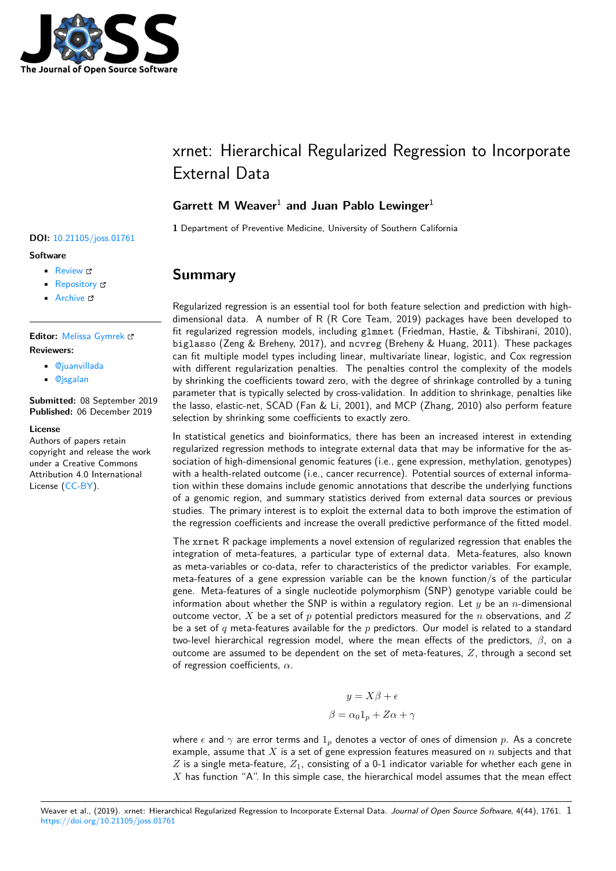

# xrnet: Hierarchical Regularized Regression to Incorporate External Data

### **Garrett M Weaver**<sup>1</sup> **and Juan Pablo Lewinger**<sup>1</sup>

**1** Department of Preventive Medicine, University of Southern California

### **Summary**

Regularized regression is an essential tool for both feature selection and prediction with highdimensional data. A number of R (R Core Team, 2019) packages have been developed to fit regularized regression models, including glmnet (Friedman, Hastie, & Tibshirani, 2010), biglasso (Zeng & Breheny, 2017), and ncvreg (Breheny & Huang, 2011). These packages can fit multiple model types including linear, multivariate linear, logistic, and Cox regression with different regularization penalties. The penalties control the complexity of the models by shrinking the coefficients toward zero, with the degree of shrinkage controlled by a tuning parameter that is typically selected by cross-validation. In addition to shrinkage, penalties like the lasso, elastic-net, SCAD (Fan & Li, 2001), and MCP (Zhang, 2010) also perform feature selection by shrinking some coefficients to exactly zero.

In statistical genetics and bioinformatics, there has been an increased interest in extending regularized regression methods to integrate external data that may be informative for the association of high-dimensional genomic features (i.e., gene expression, methylation, genotypes) with a health-related outcome (i.e., cancer recurrence). Potential sources of external information within these domains include genomic annotations that describe the underlying functions of a genomic region, and summary statistics derived from external data sources or previous studies. The primary interest is to exploit the external data to both improve the estimation of the regression coefficients and increase the overall predictive performance of the fitted model.

The xrnet R package implements a novel extension of regularized regression that enables the integration of meta-features, a particular type of external data. Meta-features, also known as meta-variables or co-data, refer to characteristics of the predictor variables. For example, meta-features of a gene expression variable can be the known function/s of the particular gene. Meta-features of a single nucleotide polymorphism (SNP) genotype variable could be information about whether the SNP is within a regulatory region. Let *y* be an *n*-dimensional outcome vector, *X* be a set of *p* potential predictors measured for the *n* observations, and *Z* be a set of *q* meta-features available for the *p* predictors. Our model is related to a standard two-level hierarchical regression model, where the mean effects of the predictors, *β*, on a outcome are assumed to be dependent on the set of meta-features, *Z*, through a second set of regression coefficients, *α*.

$$
y = X\beta + \epsilon
$$

$$
\beta = \alpha_0 1_p + Z\alpha + \gamma
$$

where  $\epsilon$  and  $\gamma$  are error terms and  $1_p$  denotes a vector of ones of dimension  $p$ . As a concrete example, assume that *X* is a set of gene expression features measured on *n* subjects and that *Z* is a single meta-feature, *Z*1, consisting of a 0-1 indicator variable for whether each gene in *X* has function "A". In this simple case, the hierarchical model assumes that the mean effect

**DOI:** 10.21105/joss.01761 **Software**

- Review &
- [Repository](https://doi.org/10.21105/joss.01761)  $\circ$
- Archive

**Editor:** [Melissa G](https://github.com/USCbiostats/xrnet)ymrek **Revie[wers:](https://doi.org/10.5281/zenodo.3564788)**

- @juanvillada
- @[jsgalan](http://gymreklab.com)

**Submitted:** 08 September 2019 **Published:** [06 Dec](https://github.com/juanvillada)ember 2019

### **Licen[se](https://github.com/jsgalan)**

Authors of papers retain copyright and release the work under a Creative Commons Attribution 4.0 International License (CC-BY).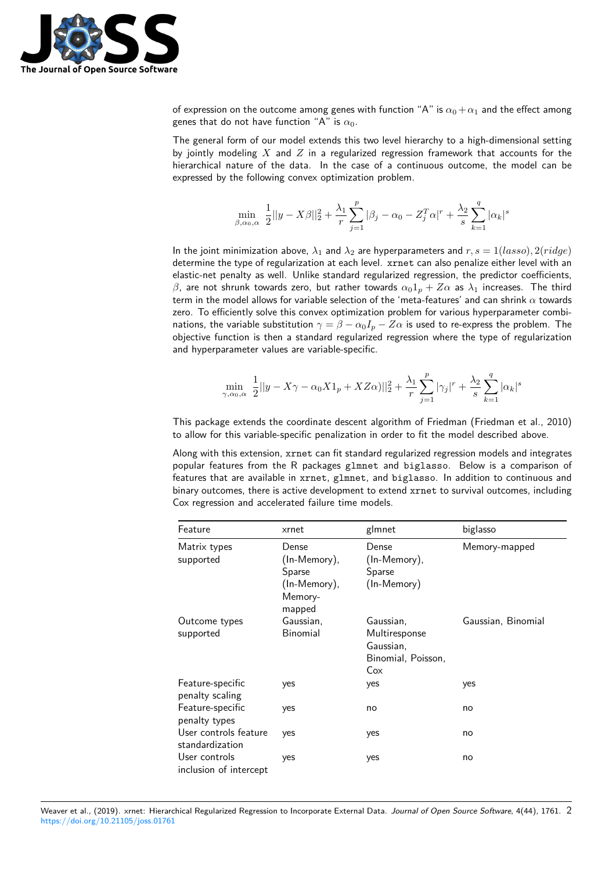

of expression on the outcome among genes with function "A" is  $\alpha_0 + \alpha_1$  and the effect among genes that do not have function "A" is  $\alpha_0$ .

The general form of our model extends this two level hierarchy to a high-dimensional setting by jointly modeling *X* and *Z* in a regularized regression framework that accounts for the hierarchical nature of the data. In the case of a continuous outcome, the model can be expressed by the following convex optimization problem.

$$
\min_{\beta, \alpha_0, \alpha} \frac{1}{2} ||y - X\beta||_2^2 + \frac{\lambda_1}{r} \sum_{j=1}^p |\beta_j - \alpha_0 - Z_j^T \alpha|^r + \frac{\lambda_2}{s} \sum_{k=1}^q |\alpha_k|^s
$$

In the joint minimization above,  $\lambda_1$  and  $\lambda_2$  are hyperparameters and  $r, s = 1 (lasso), 2 (ridge)$ determine the type of regularization at each level. xrnet can also penalize either level with an elastic-net penalty as well. Unlike standard regularized regression, the predictor coefficients, *β*, are not shrunk towards zero, but rather towards  $\alpha_0 1_p + Z\alpha$  as  $\lambda_1$  increases. The third term in the model allows for variable selection of the 'meta-features' and can shrink *α* towards zero. To efficiently solve this convex optimization problem for various hyperparameter combinations, the variable substitution  $\gamma = \beta - \alpha_0 I_p - Z\alpha$  is used to re-express the problem. The objective function is then a standard regularized regression where the type of regularization and hyperparameter values are variable-specific.

$$
\min_{\gamma,\alpha_0,\alpha} \frac{1}{2} ||y - X\gamma - \alpha_0 X 1_p + XZ\alpha)||_2^2 + \frac{\lambda_1}{r} \sum_{j=1}^p |\gamma_j|^r + \frac{\lambda_2}{s} \sum_{k=1}^q |\alpha_k|^s
$$

This package extends the coordinate descent algorithm of Friedman (Friedman et al., 2010) to allow for this variable-specific penalization in order to fit the model described above.

Along with this extension, xrnet can fit standard regularized regression models and integrates popular features from the R packages glmnet and biglasso. Below is a comparison of features that are available in xrnet, glmnet, and biglasso. In addition to continuous and binary outcomes, there is active development to extend xrnet to survival outcomes, including Cox regression and accelerated failure time models.

| Feature                                  | xrnet                                                                | glmnet                                                               | biglasso           |
|------------------------------------------|----------------------------------------------------------------------|----------------------------------------------------------------------|--------------------|
| Matrix types<br>supported                | Dense<br>(In-Memory),<br>Sparse<br>(In-Memory),<br>Memory-<br>mapped | Dense<br>(In-Memory),<br>Sparse<br>(In-Memory)                       | Memory-mapped      |
| Outcome types<br>supported               | Gaussian,<br><b>Binomial</b>                                         | Gaussian,<br>Multiresponse<br>Gaussian,<br>Binomial, Poisson,<br>Cox | Gaussian, Binomial |
| Feature-specific<br>penalty scaling      | yes                                                                  | yes                                                                  | yes                |
| Feature-specific<br>penalty types        | yes                                                                  | no                                                                   | no                 |
| User controls feature<br>standardization | yes                                                                  | yes                                                                  | no                 |
| User controls<br>inclusion of intercept  | yes                                                                  | yes                                                                  | no                 |